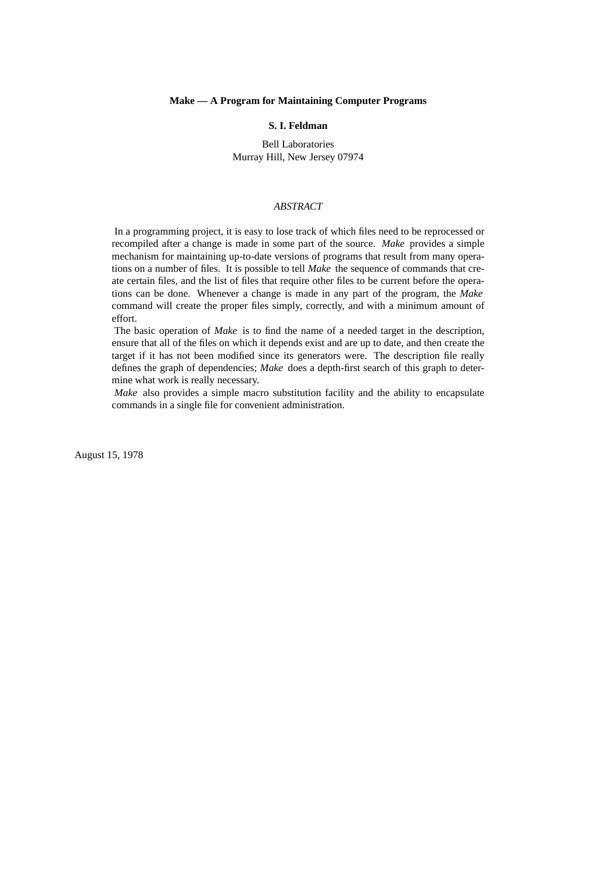#### **Make — A Program for Maintaining Computer Programs**

## **S. I. Feldman**

Bell Laboratories Murray Hill, New Jersey 07974

#### *ABSTRACT*

In a programming project, it is easy to lose track of which files need to be reprocessed or recompiled after a change is made in some part of the source. *Make* provides a simple mechanism for maintaining up-to-date versions of programs that result from many operations on a number of files. It is possible to tell *Make* the sequence of commands that create certain files, and the list of files that require other files to be current before the operations can be done. Whenever a change is made in any part of the program, the *Make* command will create the proper files simply, correctly, and with a minimum amount of effort.

The basic operation of *Make* is to find the name of a needed target in the description, ensure that all of the files on which it depends exist and are up to date, and then create the target if it has not been modified since its generators were. The description file really defines the graph of dependencies; *Make* does a depth-first search of this graph to determine what work is really necessary.

*Make* also provides a simple macro substitution facility and the ability to encapsulate commands in a single file for convenient administration.

August 15, 1978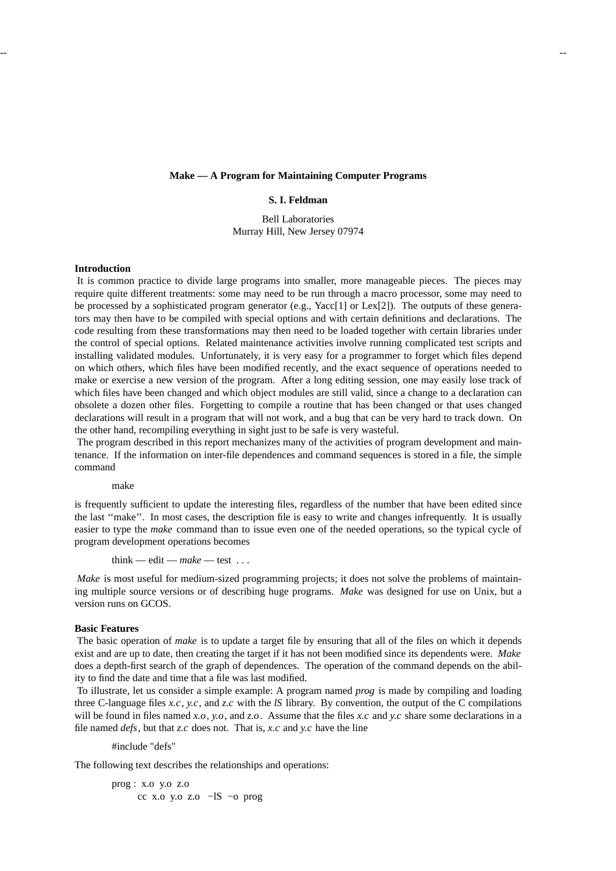## **Make — A Program for Maintaining Computer Programs**

# **S. I. Feldman**

Bell Laboratories Murray Hill, New Jersey 07974

# **Introduction**

It is common practice to divide large programs into smaller, more manageable pieces. The pieces may require quite different treatments: some may need to be run through a macro processor, some may need to be processed by a sophisticated program generator (e.g., Yacc[1] or Lex[2]). The outputs of these generators may then have to be compiled with special options and with certain definitions and declarations. The code resulting from these transformations may then need to be loaded together with certain libraries under the control of special options. Related maintenance activities involve running complicated test scripts and installing validated modules. Unfortunately, it is very easy for a programmer to forget which files depend on which others, which files have been modified recently, and the exact sequence of operations needed to make or exercise a new version of the program. After a long editing session, one may easily lose track of which files have been changed and which object modules are still valid, since a change to a declaration can obsolete a dozen other files. Forgetting to compile a routine that has been changed or that uses changed declarations will result in a program that will not work, and a bug that can be very hard to track down. On the other hand, recompiling everything in sight just to be safe is very wasteful.

The program described in this report mechanizes many of the activities of program development and maintenance. If the information on inter-file dependences and command sequences is stored in a file, the simple command

make

is frequently sufficient to update the interesting files, regardless of the number that have been edited since the last ''make''. In most cases, the description file is easy to write and changes infrequently. It is usually easier to type the *make* command than to issue even one of the needed operations, so the typical cycle of program development operations becomes

think — edit — *make* — test . . .

*Make* is most useful for medium-sized programming projects; it does not solve the problems of maintaining multiple source versions or of describing huge programs. *Make* was designed for use on Unix, but a version runs on GCOS.

## **Basic Features**

The basic operation of *make* is to update a target file by ensuring that all of the files on which it depends exist and are up to date, then creating the target if it has not been modified since its dependents were. *Make* does a depth-first search of the graph of dependences. The operation of the command depends on the ability to find the date and time that a file was last modified.

To illustrate, let us consider a simple example: A program named *prog* is made by compiling and loading three C-language files *x.c*, *y.c*, and *z.c* with the *lS* library. By convention, the output of the C compilations will be found in files named *x.o*, *y.o*, and *z.o*. Assume that the files *x.c* and *y.c* share some declarations in a file named *defs*, but that *z.c* does not. That is, *x.c* and *y.c* have the line

#include "defs"

The following text describes the relationships and operations:

prog : x.o y.o z.o cc x.o y.o z.o −lS −o prog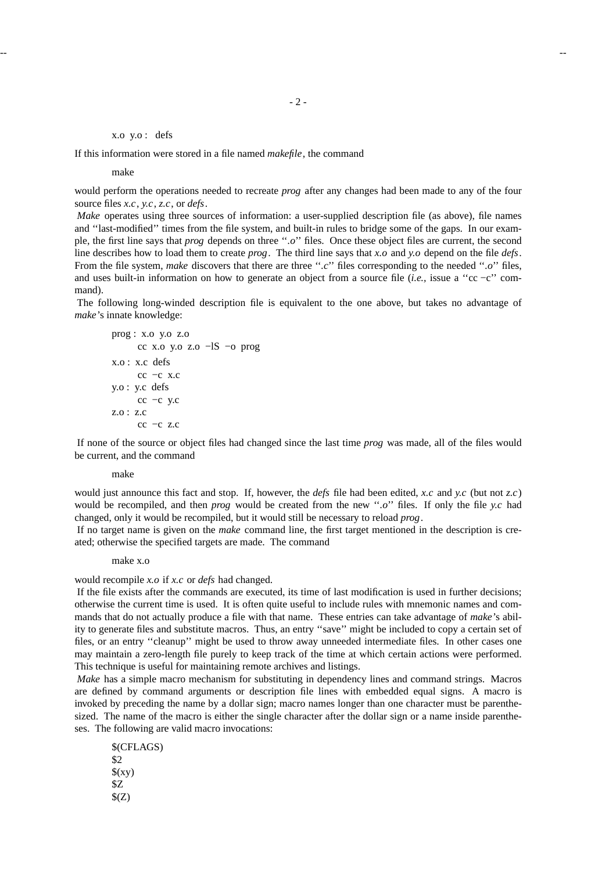### x.o y.o : defs

If this information were stored in a file named *makefile*, the command

make

would perform the operations needed to recreate *prog* after any changes had been made to any of the four source files *x.c*, *y.c*, *z.c*, or *defs*.

*Make* operates using three sources of information: a user-supplied description file (as above), file names and ''last-modified'' times from the file system, and built-in rules to bridge some of the gaps. In our example, the first line says that *prog* depends on three ''*.o*'' files. Once these object files are current, the second line describes how to load them to create *prog*. The third line says that *x.o* and *y.o* depend on the file *defs*. From the file system, *make* discovers that there are three "*.c*" files corresponding to the needed ".*o*" files, and uses built-in information on how to generate an object from a source file (*i.e.,* issue a ''cc −c'' command).

The following long-winded description file is equivalent to the one above, but takes no advantage of *make*'s innate knowledge:

prog: x.o y.o z.o

\n\n- $$
cc
$$
 x.o y.o z.o
\n- $-1S - 0$  prog
\n
\nx.o: x.c defs

\n\n- $cc - c$  x.c
\n
\ny.o: y.c defs

\n\n- $cc - c$  y.c
\n
\nz.o: z.c

\n\n- $cc - c$  z.c
\n

If none of the source or object files had changed since the last time *prog* was made, all of the files would be current, and the command

#### make

would just announce this fact and stop. If, however, the *defs* file had been edited, *x.c* and *y.c* (but not *z.c*) would be recompiled, and then *prog* would be created from the new "*.o*" files. If only the file *y.c* had changed, only it would be recompiled, but it would still be necessary to reload *prog*.

If no target name is given on the *make* command line, the first target mentioned in the description is created; otherwise the specified targets are made. The command

## make x.o

would recompile *x.o* if *x.c* or *defs* had changed.

If the file exists after the commands are executed, its time of last modification is used in further decisions; otherwise the current time is used. It is often quite useful to include rules with mnemonic names and commands that do not actually produce a file with that name. These entries can take advantage of *make*'s ability to generate files and substitute macros. Thus, an entry ''save'' might be included to copy a certain set of files, or an entry "cleanup" might be used to throw away unneeded intermediate files. In other cases one may maintain a zero-length file purely to keep track of the time at which certain actions were performed. This technique is useful for maintaining remote archives and listings.

*Make* has a simple macro mechanism for substituting in dependency lines and command strings. Macros are defined by command arguments or description file lines with embedded equal signs. A macro is invoked by preceding the name by a dollar sign; macro names longer than one character must be parenthesized. The name of the macro is either the single character after the dollar sign or a name inside parentheses. The following are valid macro invocations:

\$(CFLAGS) \$2  $(xy)$ \$Z  $\S(Z)$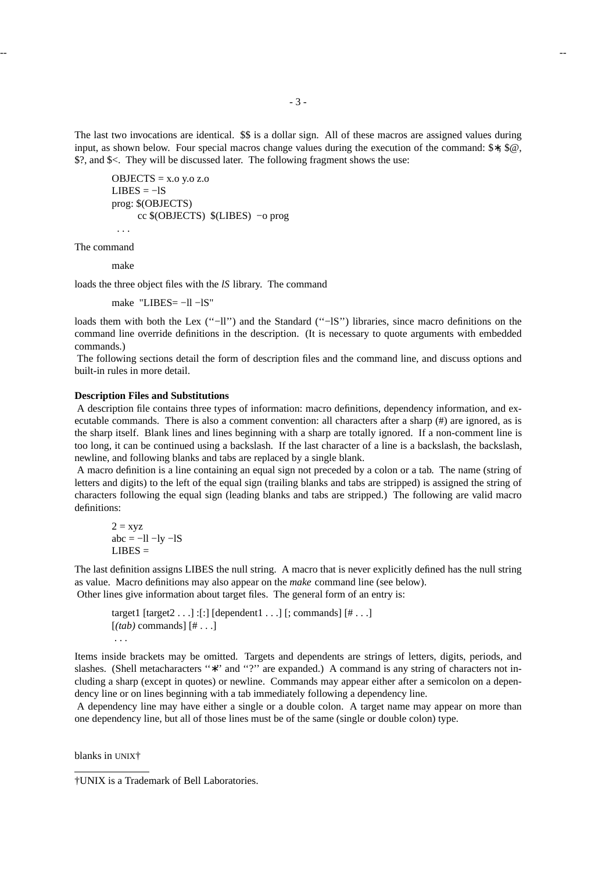The last two invocations are identical.  $\$  is a dollar sign. All of these macros are assigned values during input, as shown below. Four special macros change values during the execution of the command: \$∗, \$@, \$?, and \$<. They will be discussed later. The following fragment shows the use:

```
OBIECTS = X.0 y.o z.o
LIBES = -lSprog: $(OBJECTS)
     cc $(OBJECTS) $(LIBES) −o prog
 ...
```
The command

make

loads the three object files with the *lS* library. The command

make "LIBES= -11 -lS"

loads them with both the Lex (''−ll'') and the Standard (''−lS'') libraries, since macro definitions on the command line override definitions in the description. (It is necessary to quote arguments with embedded commands.)

The following sections detail the form of description files and the command line, and discuss options and built-in rules in more detail.

# **Description Files and Substitutions**

A description file contains three types of information: macro definitions, dependency information, and executable commands. There is also a comment convention: all characters after a sharp (#) are ignored, as is the sharp itself. Blank lines and lines beginning with a sharp are totally ignored. If a non-comment line is too long, it can be continued using a backslash. If the last character of a line is a backslash, the backslash, newline, and following blanks and tabs are replaced by a single blank.

A macro definition is a line containing an equal sign not preceded by a colon or a tab. The name (string of letters and digits) to the left of the equal sign (trailing blanks and tabs are stripped) is assigned the string of characters following the equal sign (leading blanks and tabs are stripped.) The following are valid macro definitions:

$$
2 = xyz
$$
  
abc = -ll -ly -lS  
LIBES =

The last definition assigns LIBES the null string. A macro that is never explicitly defined has the null string as value. Macro definitions may also appear on the *make* command line (see below). Other lines give information about target files. The general form of an entry is:

```
target1 [target2 . . .] :[:] [dependent1 . . .] [; commands] [# . . .]
[(tab) commands] [# . . .]
 ...
```
Items inside brackets may be omitted. Targets and dependents are strings of letters, digits, periods, and slashes. (Shell metacharacters "\*" and "?" are expanded.) A command is any string of characters not including a sharp (except in quotes) or newline. Commands may appear either after a semicolon on a dependency line or on lines beginning with a tab immediately following a dependency line.

A dependency line may have either a single or a double colon. A target name may appear on more than one dependency line, but all of those lines must be of the same (single or double colon) type.

blanks in UNIX†

<sup>†</sup>UNIX is a Trademark of Bell Laboratories.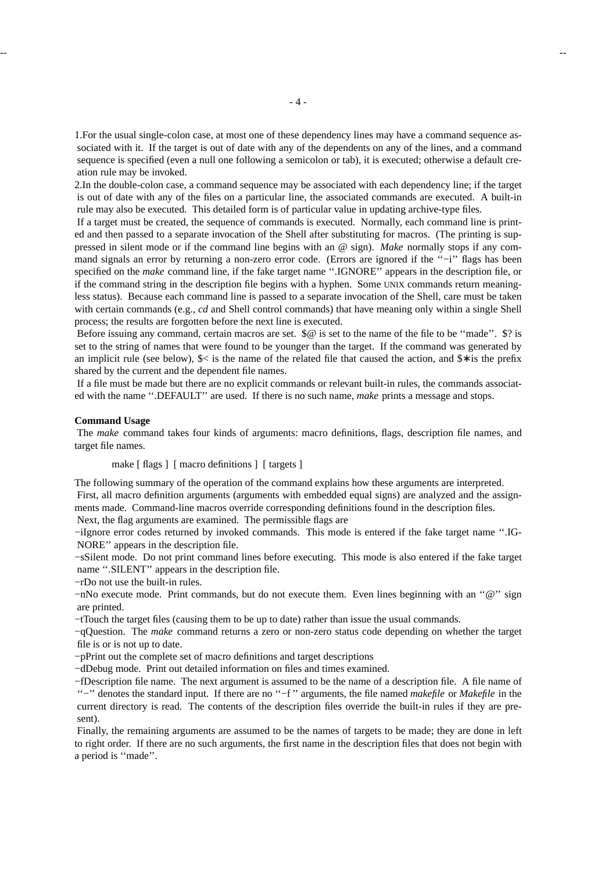1.For the usual single-colon case, at most one of these dependency lines may have a command sequence associated with it. If the target is out of date with any of the dependents on any of the lines, and a command sequence is specified (even a null one following a semicolon or tab), it is executed; otherwise a default creation rule may be invoked.

2.In the double-colon case, a command sequence may be associated with each dependency line; if the target is out of date with any of the files on a particular line, the associated commands are executed. A built-in rule may also be executed. This detailed form is of particular value in updating archive-type files.

If a target must be created, the sequence of commands is executed. Normally, each command line is printed and then passed to a separate invocation of the Shell after substituting for macros. (The printing is suppressed in silent mode or if the command line begins with an @ sign). *Make* normally stops if any command signals an error by returning a non-zero error code. (Errors are ignored if the "−i" flags has been specified on the *make* command line, if the fake target name ''.IGNORE'' appears in the description file, or if the command string in the description file begins with a hyphen. Some UNIX commands return meaningless status). Because each command line is passed to a separate invocation of the Shell, care must be taken with certain commands (e.g., *cd* and Shell control commands) that have meaning only within a single Shell process; the results are forgotten before the next line is executed.

Before issuing any command, certain macros are set.  $\mathcal{P} \omega$  is set to the name of the file to be "made".  $\mathcal{P}$  is set to the string of names that were found to be younger than the target. If the command was generated by an implicit rule (see below), \$< is the name of the related file that caused the action, and \$∗ is the prefix shared by the current and the dependent file names.

If a file must be made but there are no explicit commands or relevant built-in rules, the commands associated with the name ''.DEFAULT'' are used. If there is no such name, *make* prints a message and stops.

#### **Command Usage**

The *make* command takes four kinds of arguments: macro definitions, flags, description file names, and target file names.

make [ flags ] [ macro definitions ] [ targets ]

The following summary of the operation of the command explains how these arguments are interpreted. First, all macro definition arguments (arguments with embedded equal signs) are analyzed and the assignments made. Command-line macros override corresponding definitions found in the description files.

Next, the flag arguments are examined. The permissible flags are

−iIgnore error codes returned by invoked commands. This mode is entered if the fake target name ''.IG-NORE'' appears in the description file.

−sSilent mode. Do not print command lines before executing. This mode is also entered if the fake target name ''.SILENT'' appears in the description file.

−rDo not use the built-in rules.

−nNo execute mode. Print commands, but do not execute them. Even lines beginning with an ''@'' sign are printed.

−tTouch the target files (causing them to be up to date) rather than issue the usual commands.

−qQuestion. The *make* command returns a zero or non-zero status code depending on whether the target file is or is not up to date.

−pPrint out the complete set of macro definitions and target descriptions

−dDebug mode. Print out detailed information on files and times examined.

−fDescription file name. The next argument is assumed to be the name of a description file. A file name of ''−'' denotes the standard input. If there are no ''−f '' arguments, the file named *makefile* or *Makefile* in the current directory is read. The contents of the description files override the built-in rules if they are present).

Finally, the remaining arguments are assumed to be the names of targets to be made; they are done in left to right order. If there are no such arguments, the first name in the description files that does not begin with a period is ''made''.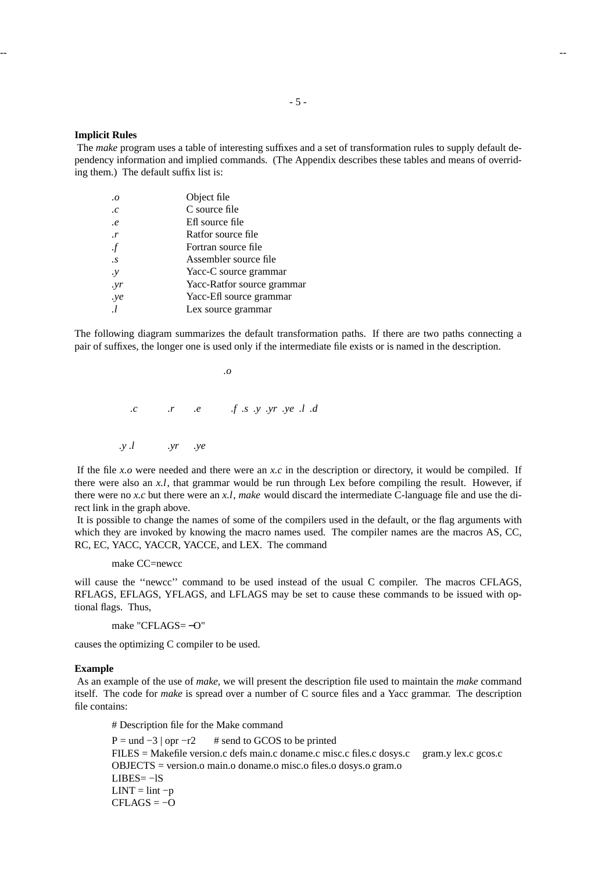## **Implicit Rules**

The *make* program uses a table of interesting suffixes and a set of transformation rules to supply default dependency information and implied commands. (The Appendix describes these tables and means of overriding them.) The default suffix list is:

| $\cdot$        | Object file                |
|----------------|----------------------------|
| $\cdot c$      | C source file              |
| $\cdot e$      | Eff source file            |
| $\cdot$ r      | Ratfor source file         |
| $\cdot f$      | Fortran source file        |
| $\cdot$ S      | Assembler source file      |
| $\cdot y$      | Yacc-C source grammar      |
| .yr            | Yacc-Ratfor source grammar |
| .ye            | Yacc-Efl source grammar    |
| $\overline{I}$ | Lex source grammar         |

The following diagram summarizes the default transformation paths. If there are two paths connecting a pair of suffixes, the longer one is used only if the intermediate file exists or is named in the description.

*.o .c .r .e .f .s .y .yr .ye .l .d .y .l .yr .ye*

If the file *x.o* were needed and there were an *x.c* in the description or directory, it would be compiled. If there were also an *x.l*, that grammar would be run through Lex before compiling the result. However, if there were no *x.c* but there were an *x.l*, *make* would discard the intermediate C-language file and use the direct link in the graph above.

It is possible to change the names of some of the compilers used in the default, or the flag arguments with which they are invoked by knowing the macro names used. The compiler names are the macros AS, CC, RC, EC, YACC, YACCR, YACCE, and LEX. The command

make CC=newcc

will cause the ''newcc'' command to be used instead of the usual C compiler. The macros CFLAGS, RFLAGS, EFLAGS, YFLAGS, and LFLAGS may be set to cause these commands to be issued with optional flags. Thus,

make "CFLAGS= −O"

causes the optimizing C compiler to be used.

#### **Example**

As an example of the use of *make,* we will present the description file used to maintain the *make* command itself. The code for *make* is spread over a number of C source files and a Yacc grammar. The description file contains:

# Description file for the Make command

 $P =$ und  $-3$  | opr  $-r2$  # send to GCOS to be printed FILES = Makefile version.c defs main.c doname.c misc.c files.c dosys.c gram.y lex.c gcos.c OBJECTS = version.o main.o doname.o misc.o files.o dosys.o gram.o  $LIBES = -lS$  $LINT =$  lint  $-p$  $CFLAGS = -O$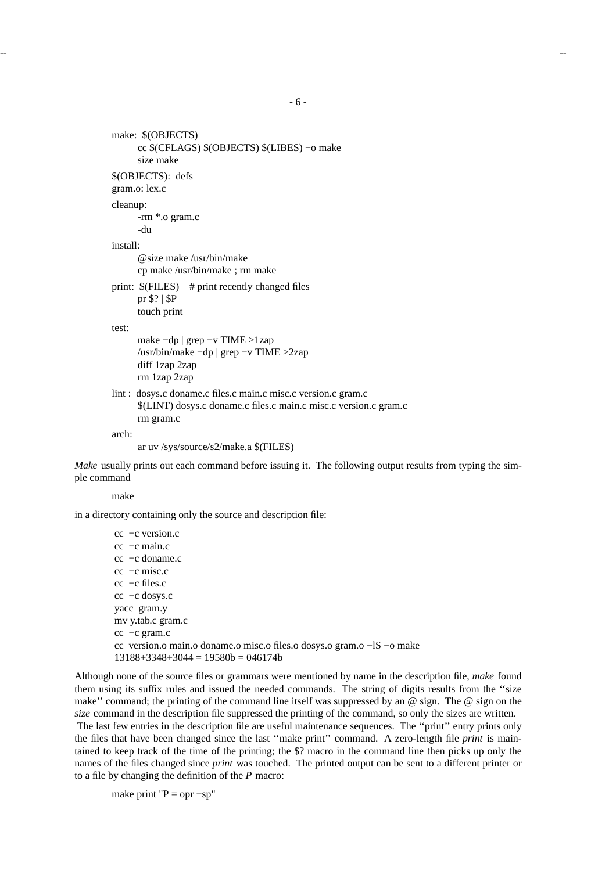-- --

```
-6-
```

```
make: $(OBJECTS)
      cc $(CFLAGS) $(OBJECTS) $(LIBES) −o make
      size make
$(OBJECTS): defs
gram.o: lex.c
cleanup:
     -rm *.o gram.c
      -du
install:
      @size make /usr/bin/make
     cp make /usr/bin/make ; rm make
print: $(FILES) # print recently changed files
     pr $? | $P
      touch print
test:
      make −dp | grep −v TIME >1zap
      /usr/bin/make −dp | grep −v TIME >2zap
      diff 1zap 2zap
      rm 1zap 2zap
lint : dosys.c doname.c files.c main.c misc.c version.c gram.c
      $(LINT) dosys.c doname.c files.c main.c misc.c version.c gram.c
      rm gram.c
arch:
      ar uv /sys/source/s2/make.a $(FILES)
```
*Make* usually prints out each command before issuing it. The following output results from typing the simple command

make

in a directory containing only the source and description file:

cc −c version.c cc −c main.c cc −c doname.c cc −c misc.c cc −c files.c cc −c dosys.c yacc gram.y mv y.tab.c gram.c cc −c gram.c cc version.o main.o doname.o misc.o files.o dosys.o gram.o −lS −o make  $13188+3348+3044 = 19580b = 046174b$ 

Although none of the source files or grammars were mentioned by name in the description file, *make* found them using its suffix rules and issued the needed commands. The string of digits results from the ''size make'' command; the printing of the command line itself was suppressed by an @ sign. The @ sign on the *size* command in the description file suppressed the printing of the command, so only the sizes are written.

The last few entries in the description file are useful maintenance sequences. The ''print'' entry prints only the files that have been changed since the last ''make print'' command. A zero-length file *print* is maintained to keep track of the time of the printing; the \$? macro in the command line then picks up only the names of the files changed since *print* was touched. The printed output can be sent to a different printer or to a file by changing the definition of the *P* macro:

make print " $P =$  opr  $-sp$ "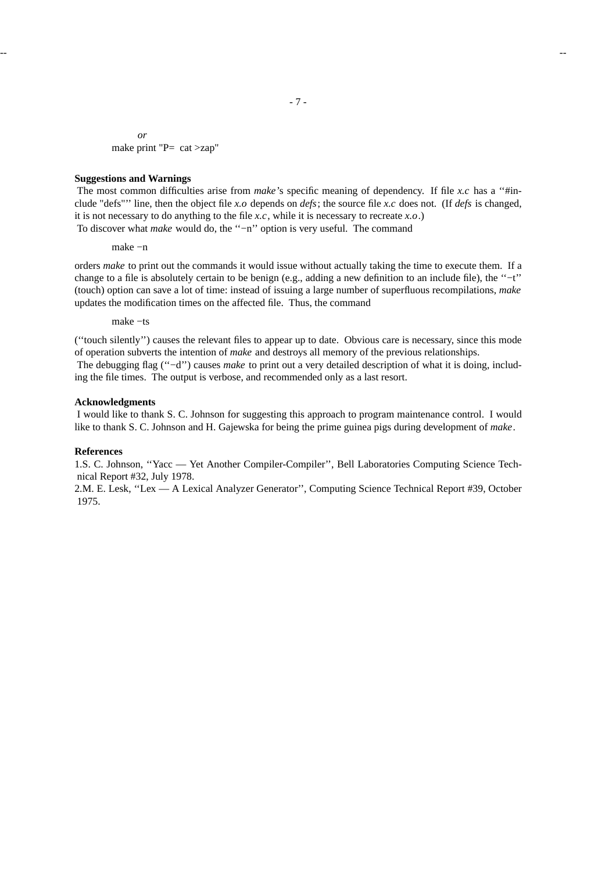*or* make print "P= cat >zap"

#### **Suggestions and Warnings**

The most common difficulties arise from *make*'s specific meaning of dependency. If file *x.c* has a "#include "defs"'' line, then the object file *x.o* depends on *defs*; the source file *x.c* does not. (If *defs* is changed, it is not necessary to do anything to the file *x.c*, while it is necessary to recreate *x.o*.) To discover what *make* would do, the "−n" option is very useful. The command

make −n

orders *make* to print out the commands it would issue without actually taking the time to execute them. If a change to a file is absolutely certain to be benign (e.g., adding a new definition to an include file), the ''−t'' (touch) option can save a lot of time: instead of issuing a large number of superfluous recompilations, *make* updates the modification times on the affected file. Thus, the command

make −ts

(''touch silently'') causes the relevant files to appear up to date. Obvious care is necessary, since this mode of operation subverts the intention of *make* and destroys all memory of the previous relationships. The debugging flag ("−d") causes *make* to print out a very detailed description of what it is doing, including the file times. The output is verbose, and recommended only as a last resort.

## **Acknowledgments**

I would like to thank S. C. Johnson for suggesting this approach to program maintenance control. I would like to thank S. C. Johnson and H. Gajewska for being the prime guinea pigs during development of *make*.

#### **References**

1.S. C. Johnson, ''Yacc — Yet Another Compiler-Compiler'', Bell Laboratories Computing Science Technical Report #32, July 1978.

2.M. E. Lesk, ''Lex — A Lexical Analyzer Generator'', Computing Science Technical Report #39, October 1975.